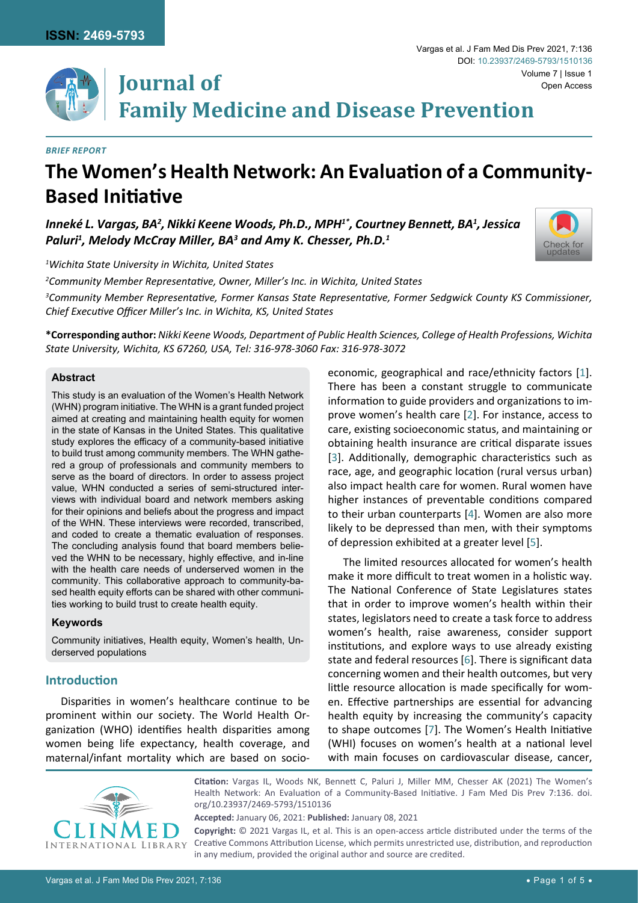

#### *Brief Report*

# **The Women's Health Network: An Evaluation of a Community-Based Initiative**

*Inneké L. Vargas, BA2 , Nikki Keene Woods, Ph.D., MPH1\*, Courtney Bennett, BA<sup>1</sup> , Jessica Paluri1 , Melody McCray Miller, BA3 and Amy K. Chesser, Ph.D.1*



Open Access

Vargas et al. J Fam Med Dis Prev 2021, 7:136

DOI: [10.23937/2469-5793/1510136](https://doi.org/10.23937/2469-5793/1510136)

*1 Wichita State University in Wichita, United States*

*2 Community Member Representative, Owner, Miller's Inc. in Wichita, United States*

*3 Community Member Representative, Former Kansas State Representative, Former Sedgwick County KS Commissioner, Chief Executive Officer Miller's Inc. in Wichita, KS, United States*

**\*Corresponding author:** *Nikki Keene Woods, Department of Public Health Sciences, College of Health Professions, Wichita State University, Wichita, KS 67260, USA, Tel: 316-978-3060 Fax: 316-978-3072*

#### **Abstract**

This study is an evaluation of the Women's Health Network (WHN) program initiative. The WHN is a grant funded project aimed at creating and maintaining health equity for women in the state of Kansas in the United States. This qualitative study explores the efficacy of a community-based initiative to build trust among community members. The WHN gathered a group of professionals and community members to serve as the board of directors. In order to assess project value, WHN conducted a series of semi-structured interviews with individual board and network members asking for their opinions and beliefs about the progress and impact of the WHN. These interviews were recorded, transcribed, and coded to create a thematic evaluation of responses. The concluding analysis found that board members believed the WHN to be necessary, highly effective, and in-line with the health care needs of underserved women in the community. This collaborative approach to community-based health equity efforts can be shared with other communities working to build trust to create health equity.

## **Keywords**

Community initiatives, Health equity, Women's health, Underserved populations

# **Introduction**

Disparities in women's healthcare continue to be prominent within our society. The World Health Organization (WHO) identifies health disparities among women being life expectancy, health coverage, and maternal/infant mortality which are based on socioeconomic, geographical and race/ethnicity factors [\[1\]](#page-3-0). There has been a constant struggle to communicate information to guide providers and organizations to improve women's health care [[2\]](#page-3-1). For instance, access to care, existing socioeconomic status, and maintaining or obtaining health insurance are critical disparate issues [[3](#page-3-2)]. Additionally, demographic characteristics such as race, age, and geographic location (rural versus urban) also impact health care for women. Rural women have higher instances of preventable conditions compared to their urban counterparts [[4](#page-4-0)]. Women are also more likely to be depressed than men, with their symptoms of depression exhibited at a greater level [[5](#page-4-1)].

The limited resources allocated for women's health make it more difficult to treat women in a holistic way. The National Conference of State Legislatures states that in order to improve women's health within their states, legislators need to create a task force to address women's health, raise awareness, consider support institutions, and explore ways to use already existing state and federal resources [\[6\]](#page-4-2). There is significant data concerning women and their health outcomes, but very little resource allocation is made specifically for women. Effective partnerships are essential for advancing health equity by increasing the community's capacity to shape outcomes [[7](#page-4-3)]. The Women's Health Initiative (WHI) focuses on women's health at a national level with main focuses on cardiovascular disease, cancer,



**Citation:** Vargas IL, Woods NK, Bennett C, Paluri J, Miller MM, Chesser AK (2021) The Women's Health Network: An Evaluation of a Community-Based Initiative. J Fam Med Dis Prev 7:136. [doi.](http://crossmark.crossref.org/dialog/?doi=10.23937/2469-5793/1510136&domain=pdf) [org/10.23937/2469-5793/1510136](http://crossmark.crossref.org/dialog/?doi=10.23937/2469-5793/1510136&domain=pdf)

**Accepted:** January 06, 2021: **Published:** January 08, 2021

**Copyright:** © 2021 Vargas IL, et al. This is an open-access article distributed under the terms of the Creative Commons Attribution License, which permits unrestricted use, distribution, and reproduction in any medium, provided the original author and source are credited.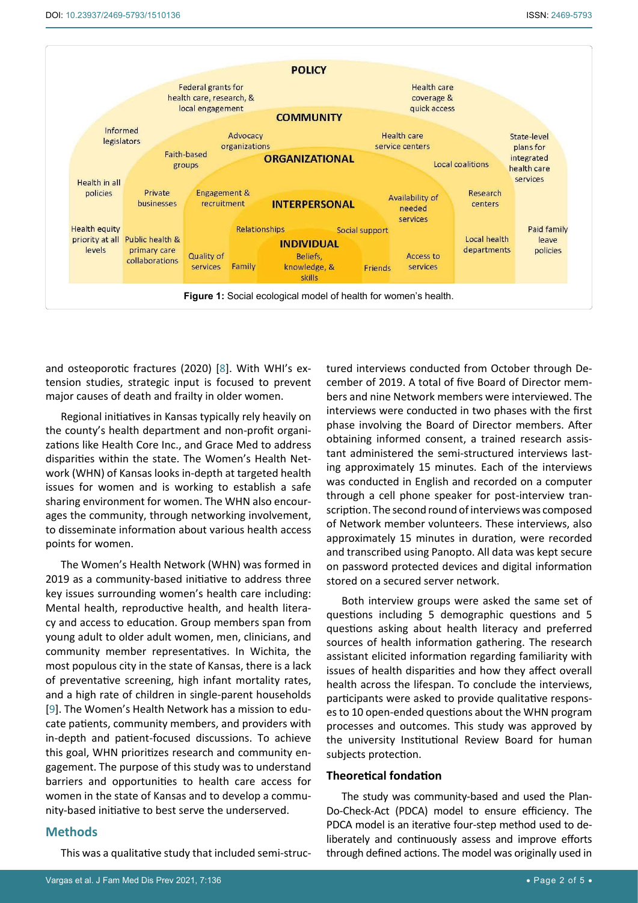<span id="page-1-0"></span>

and osteoporotic fractures (2020) [[8\]](#page-4-4). With WHI's extension studies, strategic input is focused to prevent major causes of death and frailty in older women.

Regional initiatives in Kansas typically rely heavily on the county's health department and non-profit organizations like Health Core Inc., and Grace Med to address disparities within the state. The Women's Health Network (WHN) of Kansas looks in-depth at targeted health issues for women and is working to establish a safe sharing environment for women. The WHN also encourages the community, through networking involvement, to disseminate information about various health access points for women.

The Women's Health Network (WHN) was formed in 2019 as a community-based initiative to address three key issues surrounding women's health care including: Mental health, reproductive health, and health literacy and access to education. Group members span from young adult to older adult women, men, clinicians, and community member representatives. In Wichita, the most populous city in the state of Kansas, there is a lack of preventative screening, high infant mortality rates, and a high rate of children in single-parent households [[9](#page-4-5)]. The Women's Health Network has a mission to educate patients, community members, and providers with in-depth and patient-focused discussions. To achieve this goal, WHN prioritizes research and community engagement. The purpose of this study was to understand barriers and opportunities to health care access for women in the state of Kansas and to develop a community-based initiative to best serve the underserved.

## **Methods**

This was a qualitative study that included semi-struc-

tured interviews conducted from October through December of 2019. A total of five Board of Director members and nine Network members were interviewed. The interviews were conducted in two phases with the first phase involving the Board of Director members. After obtaining informed consent, a trained research assistant administered the semi-structured interviews lasting approximately 15 minutes. Each of the interviews was conducted in English and recorded on a computer through a cell phone speaker for post-interview transcription. The second round of interviews was composed of Network member volunteers. These interviews, also approximately 15 minutes in duration, were recorded and transcribed using Panopto. All data was kept secure on password protected devices and digital information stored on a secured server network.

Both interview groups were asked the same set of questions including 5 demographic questions and 5 questions asking about health literacy and preferred sources of health information gathering. The research assistant elicited information regarding familiarity with issues of health disparities and how they affect overall health across the lifespan. To conclude the interviews, participants were asked to provide qualitative responses to 10 open-ended questions about the WHN program processes and outcomes. This study was approved by the university Institutional Review Board for human subjects protection.

#### **Theoretical fondation**

The study was community-based and used the Plan-Do-Check-Act (PDCA) model to ensure efficiency. The PDCA model is an iterative four-step method used to deliberately and continuously assess and improve efforts through defined actions. The model was originally used in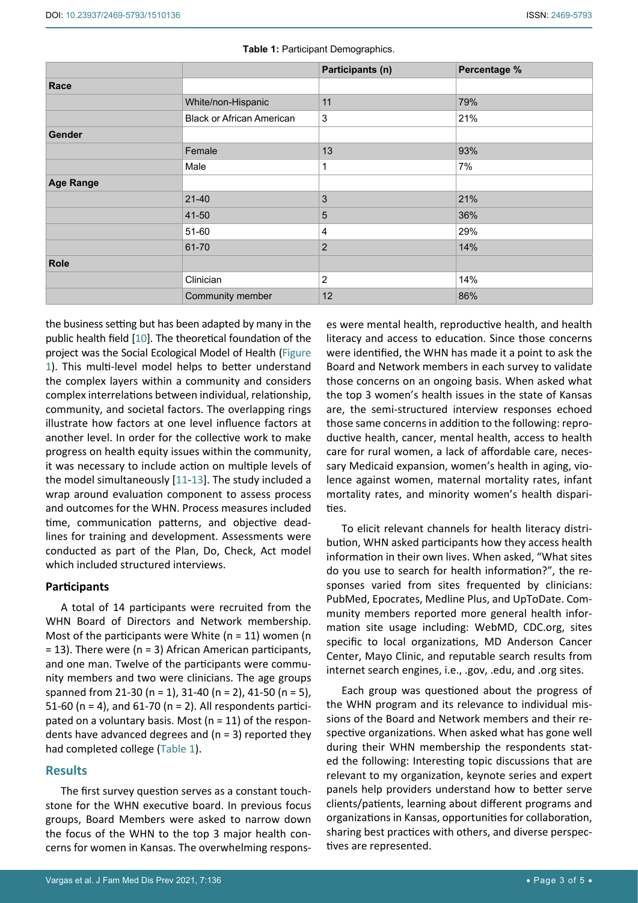|                  |                                  | Participants (n) | Percentage % |
|------------------|----------------------------------|------------------|--------------|
| Race             |                                  |                  |              |
|                  | White/non-Hispanic               | 11               | 79%          |
|                  | <b>Black or African American</b> | $\mathfrak{S}$   | 21%          |
| Gender           |                                  |                  |              |
|                  | Female                           | 13               | 93%          |
|                  | Male                             | 1                | 7%           |
| <b>Age Range</b> |                                  |                  |              |
|                  | $21 - 40$                        | 3                | 21%          |
|                  | 41-50                            | 5                | 36%          |
|                  | 51-60                            | $\overline{4}$   | 29%          |
|                  | 61-70                            | $\overline{2}$   | 14%          |
| <b>Role</b>      |                                  |                  |              |
|                  | Clinician                        | $\sqrt{2}$       | 14%          |
|                  | Community member                 | 12               | 86%          |

<span id="page-2-0"></span>**Table 1:** Participant Demographics.

the business setting but has been adapted by many in the public health field [\[10\]](#page-4-6). The theoretical foundation of the project was the Social Ecological Model of Health ([Figure](#page-1-0)  [1\)](#page-1-0). This multi-level model helps to better understand the complex layers within a community and considers complex interrelations between individual, relationship, community, and societal factors. The overlapping rings illustrate how factors at one level influence factors at another level. In order for the collective work to make progress on health equity issues within the community, it was necessary to include action on multiple levels of the model simultaneously [\[11](#page-4-7)-[13\]](#page-4-8). The study included a wrap around evaluation component to assess process and outcomes for the WHN. Process measures included time, communication patterns, and objective deadlines for training and development. Assessments were conducted as part of the Plan, Do, Check, Act model which included structured interviews.

# **Participants**

A total of 14 participants were recruited from the WHN Board of Directors and Network membership. Most of the participants were White ( $n = 11$ ) women (n = 13). There were (n = 3) African American participants, and one man. Twelve of the participants were community members and two were clinicians. The age groups spanned from 21-30 (n = 1), 31-40 (n = 2), 41-50 (n = 5), 51-60 ( $n = 4$ ), and 61-70 ( $n = 2$ ). All respondents participated on a voluntary basis. Most ( $n = 11$ ) of the respondents have advanced degrees and  $(n = 3)$  reported they had completed college ([Table 1](#page-2-0)).

# **Results**

The first survey question serves as a constant touchstone for the WHN executive board. In previous focus groups, Board Members were asked to narrow down the focus of the WHN to the top 3 major health concerns for women in Kansas. The overwhelming respons-

es were mental health, reproductive health, and health literacy and access to education. Since those concerns were identified, the WHN has made it a point to ask the Board and Network members in each survey to validate those concerns on an ongoing basis. When asked what the top 3 women's health issues in the state of Kansas are, the semi-structured interview responses echoed those same concerns in addition to the following: reproductive health, cancer, mental health, access to health care for rural women, a lack of affordable care, necessary Medicaid expansion, women's health in aging, violence against women, maternal mortality rates, infant mortality rates, and minority women's health disparities.

To elicit relevant channels for health literacy distribution, WHN asked participants how they access health information in their own lives. When asked, "What sites do you use to search for health information?", the responses varied from sites frequented by clinicians: PubMed, Epocrates, Medline Plus, and UpToDate. Community members reported more general health information site usage including: WebMD, CDC.org, sites specific to local organizations, MD Anderson Cancer Center, Mayo Clinic, and reputable search results from internet search engines, i.e., .gov, .edu, and .org sites.

Each group was questioned about the progress of the WHN program and its relevance to individual missions of the Board and Network members and their respective organizations. When asked what has gone well during their WHN membership the respondents stated the following: Interesting topic discussions that are relevant to my organization, keynote series and expert panels help providers understand how to better serve clients/patients, learning about different programs and organizations in Kansas, opportunities for collaboration, sharing best practices with others, and diverse perspectives are represented.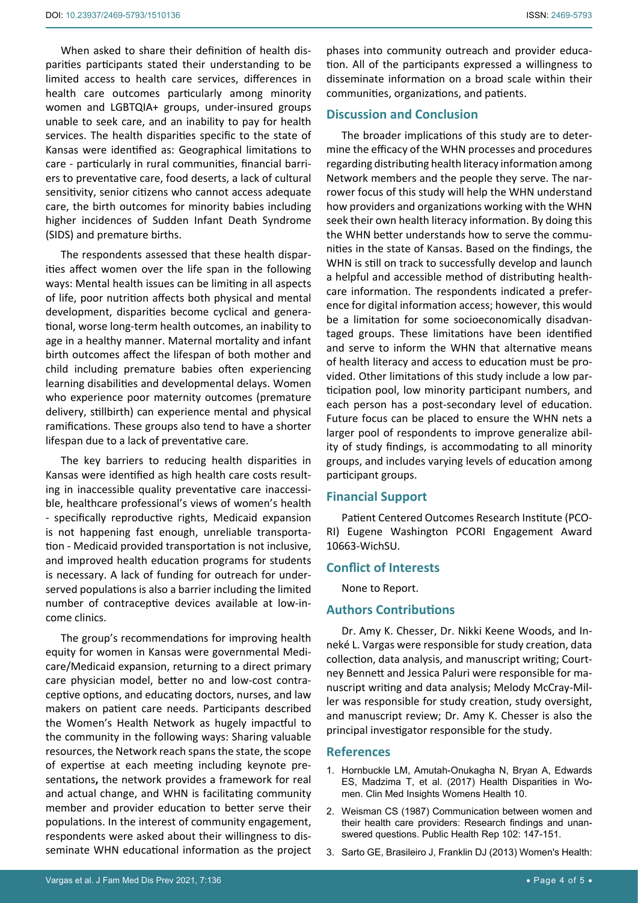When asked to share their definition of health disparities participants stated their understanding to be limited access to health care services, differences in health care outcomes particularly among minority women and LGBTQIA+ groups, under-insured groups unable to seek care, and an inability to pay for health services. The health disparities specific to the state of Kansas were identified as: Geographical limitations to care - particularly in rural communities, financial barriers to preventative care, food deserts, a lack of cultural sensitivity, senior citizens who cannot access adequate care, the birth outcomes for minority babies including higher incidences of Sudden Infant Death Syndrome (SIDS) and premature births.

The respondents assessed that these health disparities affect women over the life span in the following ways: Mental health issues can be limiting in all aspects of life, poor nutrition affects both physical and mental development, disparities become cyclical and generational, worse long-term health outcomes, an inability to age in a healthy manner. Maternal mortality and infant birth outcomes affect the lifespan of both mother and child including premature babies often experiencing learning disabilities and developmental delays. Women who experience poor maternity outcomes (premature delivery, stillbirth) can experience mental and physical ramifications. These groups also tend to have a shorter lifespan due to a lack of preventative care.

The key barriers to reducing health disparities in Kansas were identified as high health care costs resulting in inaccessible quality preventative care inaccessible, healthcare professional's views of women's health - specifically reproductive rights, Medicaid expansion is not happening fast enough, unreliable transportation - Medicaid provided transportation is not inclusive, and improved health education programs for students is necessary. A lack of funding for outreach for underserved populations is also a barrier including the limited number of contraceptive devices available at low-income clinics.

The group's recommendations for improving health equity for women in Kansas were governmental Medicare/Medicaid expansion, returning to a direct primary care physician model, better no and low-cost contraceptive options, and educating doctors, nurses, and law makers on patient care needs. Participants described the Women's Health Network as hugely impactful to the community in the following ways: Sharing valuable resources, the Network reach spans the state, the scope of expertise at each meeting including keynote presentations**,** the network provides a framework for real and actual change, and WHN is facilitating community member and provider education to better serve their populations. In the interest of community engagement, respondents were asked about their willingness to disseminate WHN educational information as the project

# **Discussion and Conclusion**

The broader implications of this study are to determine the efficacy of the WHN processes and procedures regarding distributing health literacy information among Network members and the people they serve. The narrower focus of this study will help the WHN understand how providers and organizations working with the WHN seek their own health literacy information. By doing this the WHN better understands how to serve the communities in the state of Kansas. Based on the findings, the WHN is still on track to successfully develop and launch a helpful and accessible method of distributing healthcare information. The respondents indicated a preference for digital information access; however, this would be a limitation for some socioeconomically disadvantaged groups. These limitations have been identified and serve to inform the WHN that alternative means of health literacy and access to education must be provided. Other limitations of this study include a low participation pool, low minority participant numbers, and each person has a post-secondary level of education. Future focus can be placed to ensure the WHN nets a larger pool of respondents to improve generalize ability of study findings, is accommodating to all minority groups, and includes varying levels of education among participant groups.

# **Financial Support**

Patient Centered Outcomes Research Institute (PCO-RI) Eugene Washington PCORI Engagement Award 10663-WichSU.

## **Conflict of Interests**

None to Report.

## **Authors Contributions**

Dr. Amy K. Chesser, Dr. Nikki Keene Woods, and Inneké L. Vargas were responsible for study creation, data collection, data analysis, and manuscript writing; Courtney Bennett and Jessica Paluri were responsible for manuscript writing and data analysis; Melody McCray-Miller was responsible for study creation, study oversight, and manuscript review; Dr. Amy K. Chesser is also the principal investigator responsible for the study.

#### **References**

- <span id="page-3-0"></span>1. [Hornbuckle LM, Amutah-Onukagha N, Bryan A, Edwards](https://www.ncbi.nlm.nih.gov/pmc/articles/PMC5450851/)  [ES, Madzima T, et al. \(2017\) Health Disparities in Wo](https://www.ncbi.nlm.nih.gov/pmc/articles/PMC5450851/)men. [Clin Med Insights Womens Health 10.](https://www.ncbi.nlm.nih.gov/pmc/articles/PMC5450851/)
- <span id="page-3-1"></span>2. [Weisman CS \(1987\) Communication between women and](https://pubmed.ncbi.nlm.nih.gov/3120213/)  [their health care providers: Research findings and unan](https://pubmed.ncbi.nlm.nih.gov/3120213/)[swered questions. Public Health Rep 102: 147-151.](https://pubmed.ncbi.nlm.nih.gov/3120213/)
- <span id="page-3-2"></span>3. [Sarto GE, Brasileiro J, Franklin DJ \(2013\) Women's Health:](https://pubmed.ncbi.nlm.nih.gov/24416694/)